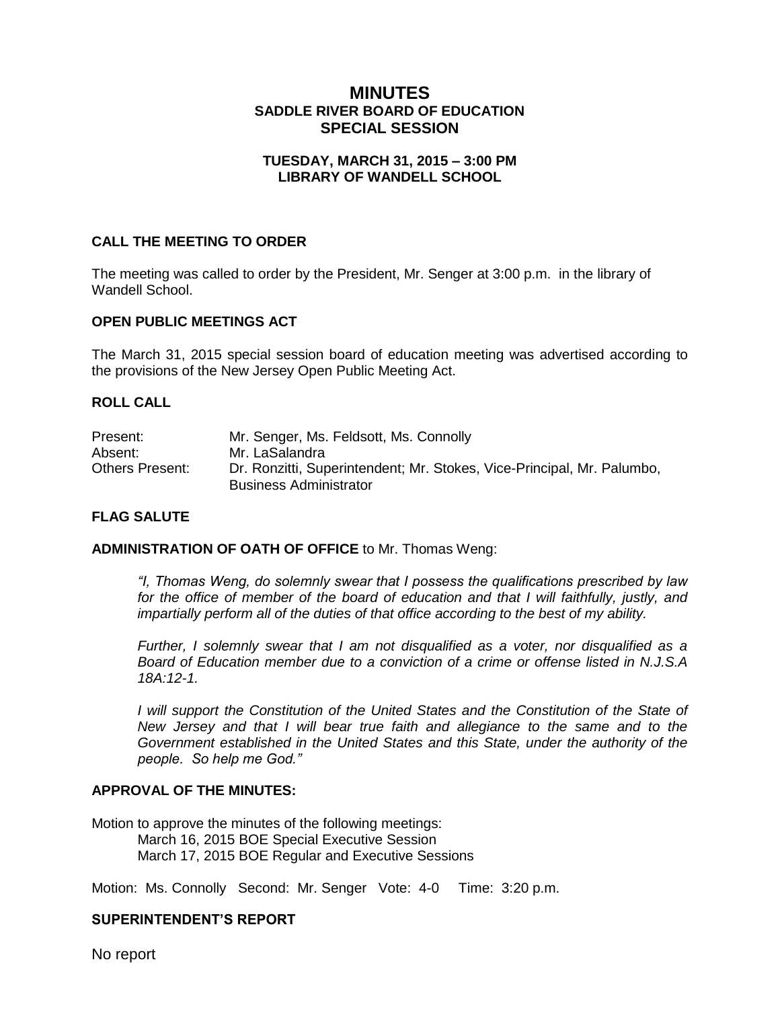# **MINUTES SADDLE RIVER BOARD OF EDUCATION SPECIAL SESSION**

### **TUESDAY, MARCH 31, 2015 – 3:00 PM LIBRARY OF WANDELL SCHOOL**

### **CALL THE MEETING TO ORDER**

The meeting was called to order by the President, Mr. Senger at 3:00 p.m. in the library of Wandell School.

#### **OPEN PUBLIC MEETINGS ACT**

The March 31, 2015 special session board of education meeting was advertised according to the provisions of the New Jersey Open Public Meeting Act.

#### **ROLL CALL**

| Present:               | Mr. Senger, Ms. Feldsott, Ms. Connolly                                 |
|------------------------|------------------------------------------------------------------------|
| Absent:                | Mr. LaSalandra                                                         |
| <b>Others Present:</b> | Dr. Ronzitti, Superintendent; Mr. Stokes, Vice-Principal, Mr. Palumbo, |
|                        | <b>Business Administrator</b>                                          |

#### **FLAG SALUTE**

#### **ADMINISTRATION OF OATH OF OFFICE** to Mr. Thomas Weng:

*"I, Thomas Weng, do solemnly swear that I possess the qualifications prescribed by law for the office of member of the board of education and that I will faithfully, justly, and impartially perform all of the duties of that office according to the best of my ability.* 

*Further, I solemnly swear that I am not disqualified as a voter, nor disqualified as a Board of Education member due to a conviction of a crime or offense listed in N.J.S.A 18A:12-1.*

*I* will support the Constitution of the United States and the Constitution of the State of *New Jersey and that I will bear true faith and allegiance to the same and to the Government established in the United States and this State, under the authority of the people. So help me God."*

#### **APPROVAL OF THE MINUTES:**

Motion to approve the minutes of the following meetings: March 16, 2015 BOE Special Executive Session March 17, 2015 BOE Regular and Executive Sessions

Motion: Ms. Connolly Second: Mr. Senger Vote: 4-0 Time: 3:20 p.m.

### **SUPERINTENDENT'S REPORT**

No report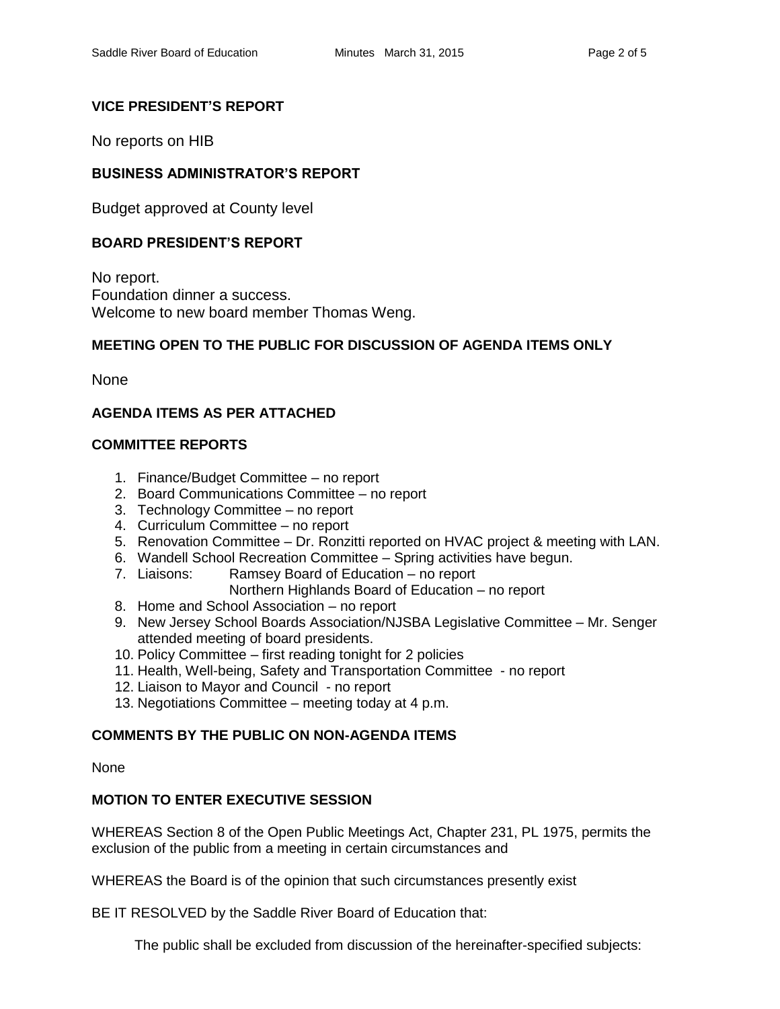### **VICE PRESIDENT'S REPORT**

No reports on HIB

## **BUSINESS ADMINISTRATOR'S REPORT**

Budget approved at County level

### **BOARD PRESIDENT'S REPORT**

No report. Foundation dinner a success. Welcome to new board member Thomas Weng.

### **MEETING OPEN TO THE PUBLIC FOR DISCUSSION OF AGENDA ITEMS ONLY**

None

### **AGENDA ITEMS AS PER ATTACHED**

### **COMMITTEE REPORTS**

- 1. Finance/Budget Committee no report
- 2. Board Communications Committee no report
- 3. Technology Committee no report
- 4. Curriculum Committee no report
- 5. Renovation Committee Dr. Ronzitti reported on HVAC project & meeting with LAN.
- 6. Wandell School Recreation Committee Spring activities have begun.
- 7. Liaisons: Ramsey Board of Education no report Northern Highlands Board of Education – no report
- 8. Home and School Association no report
- 9. New Jersey School Boards Association/NJSBA Legislative Committee Mr. Senger attended meeting of board presidents.
- 10. Policy Committee first reading tonight for 2 policies
- 11. Health, Well-being, Safety and Transportation Committee no report
- 12. Liaison to Mayor and Council no report
- 13. Negotiations Committee meeting today at 4 p.m.

### **COMMENTS BY THE PUBLIC ON NON-AGENDA ITEMS**

None

### **MOTION TO ENTER EXECUTIVE SESSION**

WHEREAS Section 8 of the Open Public Meetings Act, Chapter 231, PL 1975, permits the exclusion of the public from a meeting in certain circumstances and

WHEREAS the Board is of the opinion that such circumstances presently exist

BE IT RESOLVED by the Saddle River Board of Education that:

The public shall be excluded from discussion of the hereinafter-specified subjects: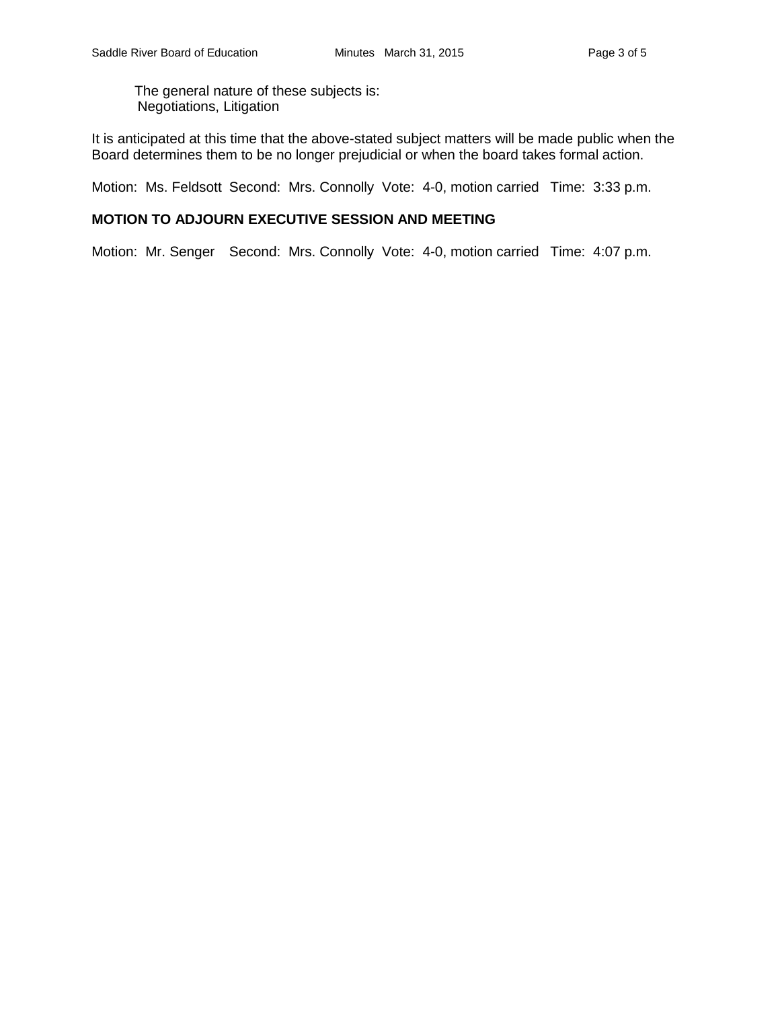The general nature of these subjects is: Negotiations, Litigation

It is anticipated at this time that the above-stated subject matters will be made public when the Board determines them to be no longer prejudicial or when the board takes formal action.

Motion: Ms. Feldsott Second: Mrs. Connolly Vote: 4-0, motion carried Time: 3:33 p.m.

### **MOTION TO ADJOURN EXECUTIVE SESSION AND MEETING**

Motion: Mr. Senger Second: Mrs. Connolly Vote: 4-0, motion carried Time: 4:07 p.m.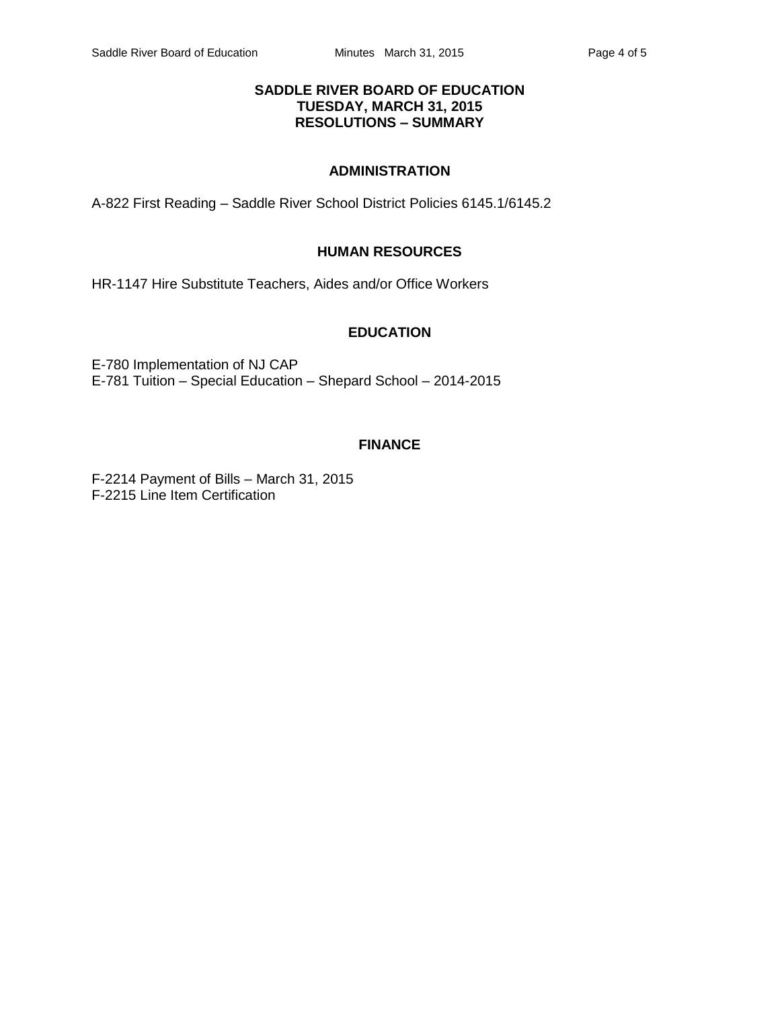### **SADDLE RIVER BOARD OF EDUCATION TUESDAY, MARCH 31, 2015 RESOLUTIONS – SUMMARY**

### **ADMINISTRATION**

A-822 First Reading – Saddle River School District Policies 6145.1/6145.2

### **HUMAN RESOURCES**

HR-1147 Hire Substitute Teachers, Aides and/or Office Workers

#### **EDUCATION**

E-780 Implementation of NJ CAP E-781 Tuition – Special Education – Shepard School – 2014-2015

### **FINANCE**

F-2214 Payment of Bills – March 31, 2015 F-2215 Line Item Certification